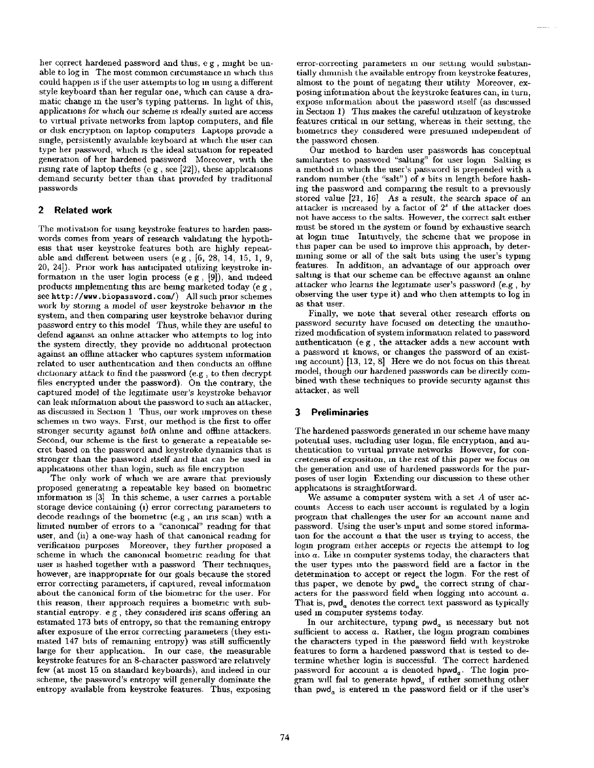her correct hardened password and thus, e g, might be unable to log in The most common circumstance in which this could happen is if the user attempts to log m using a different style keyboard than her regular one, which can cause a dramatic change m the user's typing patterns. In hght of this, applications for which our scheme is ideally suited are access to virtual private networks from laptop computers, and file or disk encryption on laptop computers Laptops provide a single, persistently available keyboard at which the user can type her password, which Is the ideal situation for repeated generation of her hardened password Moreover, with the rising rate of laptop thefts (e g , see [22]), these applications demand security better than that provided by traditional passwords

## **2 Related work**

The motivation for using keystroke features to harden passwords comes from years of research validating the hypothesis that user keystroke features both are highly repeatable and different between users  $(e g, [6, 28, 14, 15, 1, 9,$ 20, 24]). Prior work has anticipated utilizing keystroke information in the user login process (e g, [9]), and indeed products implementing this are being marketed today (e g, see http://www.biopassword.com/) All such prior schemes work by storing a model of user keystroke behavior m the system, and then comparing user keystroke behavior during password entry to this model Thus, while they are useful to defend against an online attacker who attempts to log into the system directly, they provide no additional protection against an offime attacker who captures system information related to user authentication and then conducts an offline dictionary attack to find the password (e.g, to then decrypt files encrypted under the password). On the contrary, the captured model of the legitimate user's keystroke behavior can leak information about the password to such an attacker, as discussed in Section 1 Thus, our work improves on these schemes m two ways. First, our method is the first to offer stronger security against *both* online and offline attackers. Second, our scheme is the first to generate a repeatable secret based on the password and keystroke dynamics that is stronger than the password itself and that can be used in applications other than login, such as file encryption

The only work of which we are aware that previously proposed generating a repeatable key based on blometnc information is [3] In this scheme, a user carries a portable storage device containing (1) error correcting parameters to decode readings of the biometric (e.g, an ins scan) with a limited number of errors to a "canonical" reading for that user, and (ii) a one-way hash of that canonical reading for verification purposes Moreover, they further proposed a scheme in which the canonical biometric reading for that user is hashed together with a password Their techniques, however, are inappropriate for our goals because the stored error correcting parameters, if captured, reveal information about the canonical form of the biometnc for the user. For this reason, their approach requires a biometric with substantial entropy, e g, they considered iris scans offering an estimated 173 bits of entropy, so that the remaining entropy after exposure of the error correcting parameters (they estimated 147 bits of remaining entropy) was still sufficiently large for their application. In our case, the measurable keystroke features for an 8-character password'are relatively few (at most 15 on standard keyboards), and indeed in our scheme, the password's entropy will generally dominate the entropy available from keystroke features. Thus, exposing

error-correcting parameters m our setting would substantially diminish the available entropy from keystroke features, almost to the point of negating their utility Moreover, exposing information about the keystroke features can, in turn, expose information about the password itself (as discussed in Section 1) This makes the careful utilization of keystroke features cmtical m our setting, whereas in their setting, the biometrics they considered were presumed independent of the password chosen.

Our method to harden user passwords has conceptual similarities to password "salting" for user login Salting is a method in which the user's password is prepended with a random number (the "salt") of s bits in length before hashing the password and comparing the result to a previously stored value [21, 16] As a result, the search space of an attacker is increased by a factor of  $2<sup>s</sup>$  if the attacker does not have access to the salts. However, the correct salt either must be stored m the system or found by exhaustive search at logm time Intuitively, the scheme that we propose in this paper can be used to improve this approach, by determining some or all of the salt bits using the user's typing features. In addition, an advantage of our approach over salting is that our scheme can be effective against an online attacker who learns the legitimate user's password (e.g, by observing the user type it) and who then attempts to log in as that user.

Finally, we note that several other research efforts on password security have focused on detecting the unauthorized modification of system information related to password authentication (e g, the attacker adds a new account with a password it knows, or changes the password of an existing account) [13, 12, 8] Here we do not focus on this threat model, though our hardened passwords can be directly combined with these techniques to provide security against this attacker, as well

#### **3 Preliminaries**

The hardened passwords generated m our scheme have many potential uses, including user login, file encryption, and authentication to virtual private networks However, for concreteness of exposition, in the rest of this paper we focus on the generation and use of hardened passwords for the purposes of user login Extending our discussion to these other applications is straightforward.

We assume a computer system with a set  $A$  of user accounts Access to each user account is regulated by a login program that challenges the user for an account name and password. Using the user's input and some stored information for the account a that the user is trying to access, the logm program either accepts or rejects the attempt to log into a. Like m computer systems today, the characters that the user types into the password field are a factor in the determination to accept or reject the logm. For the rest of this paper, we denote by  $\mathsf{pwd}_a$  the correct string of characters for the password field when logging into account a. That is,  $\mathsf{pwd}_a$  denotes the correct text password as typically used m computer systems today.

In our architecture, typing pwd, is necessary but not sufficient to access a. Rather, the login program combines the characters typed in the password field with keystroke features to form a hardened password that is tested to determine whether login is successful. The correct hardened password for account  $a$  is denoted hpwd<sub>a</sub>. The login program will fail to generate  $h$ pwd<sub>a</sub> if either something other than pwd, is entered in the password field or if the user's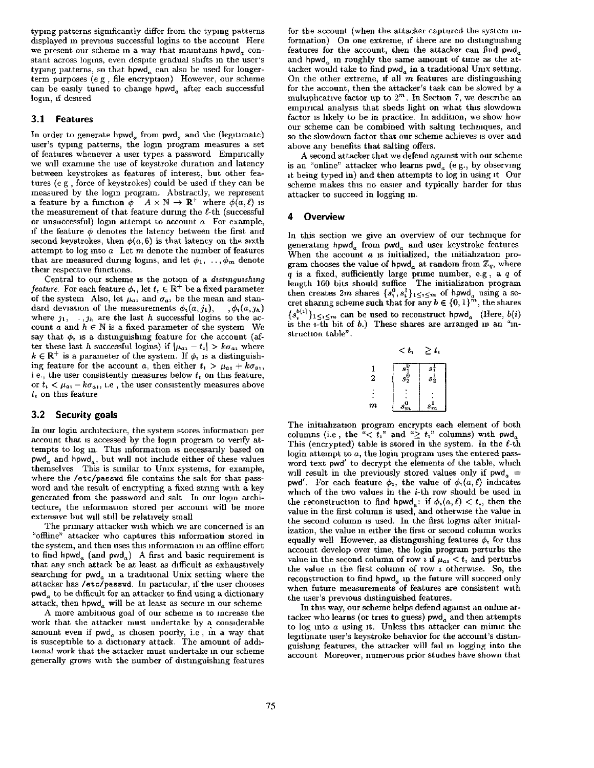typing patterns sigmficantly differ from the typing patterns displayed in previous successful logins to the account Here we present our scheme in a way that maintains hpwd, constant across loglns, even despite gradual shifts m the user's typing patterns, so that  $h \rho w d_a$  can also be used for longerterm purposes (e g, file encryption) However, our scheme can be easily tuned to change hpwd, after each successful login, if desired

## **3.1 Features**

In order to generate hpwd<sub>a</sub> from  $\mathsf{pwd}_a$  and the (legitimate) user's typing patterns, the logm program measures a set of features whenever a user types a password Empirically we will examine the use of keystroke duration and latency between keystrokes as features of interest, but other features (e g, force of keystrokes) could be used if they can be measured by the logm program. Abstractly, we represent a feature by a function  $\phi : A \times \mathbb{N} \to \mathbb{R}^+$  where  $\phi(a, \ell)$  is the measurement of that feature during the  $\ell$ -th (successful or unsuccessful) login attempt to account  $a$  For example, if the feature  $\phi$  denotes the latency between the first and second keystrokes, then  $\phi(a, 6)$  is that latency on the sixth attempt to  $log$  into  $a$ . Let  $m$  denote the number of features that are measured during logins, and let  $\phi_1, \ldots, \phi_m$  denote their respective functions.

Central to our scheme is the notion of a *distinguishing feature.* For each feature  $\phi_i$ , let  $t_i \in \mathbb{R}^+$  be a fixed parameter of the system Also, let  $\mu_{a_1}$  and  $\sigma_{a_1}$  be the mean and standard deviation of the measurements  $\phi_i(a,j_1), \ldots, \phi_i(a,j_h)$ where  $j_1, \ldots, j_h$  are the last h successful logins to the account a and  $h \in \mathbb{N}$  is a fixed parameter of the system We say that  $\phi_i$  is a distinguishing feature for the account (after these last h successful logins) if  $|\mu_{a_1} - t_i| > k\sigma_{a_2}$  where  $k \in \mathbb{R}^+$  is a parameter of the system. If  $\phi_i$  is a distinguishing feature for the account a, then either  $t_i > \mu_{a_i} + k\sigma_{a_i}$ , i e., the user consistently measures below  $t_i$  on this feature, or  $t_{i} < \mu_{a_{i}} - k\sigma_{a_{i}}$ , i.e., the user consistently measures above  $t_{i}$  on this feature

# **3.2 Security goals**

In our login architecture, the system stores information per account that is accessed by the logm program to verify attempts to log in. This information is necessarily based on  $\mathsf{pwd}_a$  and  $\mathsf{hpwd}_a$ , but will not include either of these values themselves This is similar to Umx systems, for example, where the /etc/passwd file contains the salt for that password and the result of encrypting a fixed string with a key generated from the password and salt In our logm architecture, the mformation stored per account will be more extensive but will still be relatively small

The primary attacker with which we are concerned is an "offline" attacker who captures this information stored in the system, and then uses this information in an offline effort to find hpwd<sub>a</sub> (and pwd<sub>a</sub>) A first and basic requirement is that any such attack be at least as difficult as exhaustively searching for  $\mathsf{pwd}_a$  in a traditional Unix setting where the attacker has/etc/passwd. In particular, if the user chooses  $pwd_a$  to be difficult for an attacker to find using a dictionary attack, then  $h \rho w d_a$  will be at least as secure in our scheme

A more ambitious goal of our scheme is to increase the work that the attacker must undertake by a considerable amount even if  $\mathsf{pwd}_a$  is chosen poorly, i.e., in a way that is susceptible to a dictionary attack. The amount of additional work that the attacker must undertake m our scheme generally grows with the number of distinguishing features

for the account (when the attacker captured the system mformation) On one extreme, if there are no distinguishing features for the account, then the attacker can find  $\mathsf{pwd}_a$ and hpwd $_{\circ}$  m roughly the same amount of time as the attacker would take to find  $\mathsf{pwd}_a$  in a traditional Unix setting. On the other extreme, if all  $m$  features are distinguishing for the account, then the attacker's task can be slowed by a multiplicative factor up to  $2^m$ . In Section 7, we describe an empirical analysis that sheds light on what this slowdown factor is likely to be in practice. In addition, we show how our scheme can be combined with salting techniques, and so the slowdown factor that our scheme achieves is over and above any benefits that salting offers.

A second attacker that we defend against with our scheme is an "online" attacker who learns  $\mathsf{pwd}_a$  (e.g., by observing it being typed in) and then attempts to log in using it Our scheme makes this no easier and typically harder for this attacker to succeed in logging m.

#### **4 Overview**

In this section we give an overview of our techmque for generating hpwd<sub>a</sub> from pwd<sub>a</sub> and user keystroke features When the account a is initialized, the initialization program chooses the value of  $h \uplus d_a$  at random from  $\mathbb{Z}_q$ , where q is a fixed, sufficiently large prime number, e.g, a q of length 160 bits should suffice The initialization program then creates 2m shares  $\{s_1^0, s_2^1\}_{1 \leq i \leq m}$  of hpwd<sub>a</sub> using a secret sharing scheme such that for any  $b \in \{0,1\}^m$ , the shares  $s_1^{b(i)}\}_{1\leq i\leq m}$  can be used to reconstruct hpwd<sub>a</sub> (Here, *b(i)* is the  $i$ -th bit of b.) These shares are arranged in an "instruction table".

|                  | $< t_{\scriptscriptstyle 2}$          | $t_{1}$<br>≥          |
|------------------|---------------------------------------|-----------------------|
| $\frac{1}{2}$    | $\overline{s_1^0} \ \overline{s_2^0}$ | $\frac{s_1^1}{s_2^1}$ |
| $\boldsymbol{m}$ | $s_m^0$                               | $s_m^1$               |

The initialization program encrypts each element of both columns (i.e., the "<  $t<sub>i</sub>$ " and " $\geq t<sub>i</sub>$ " columns) with pwd<sub>a</sub> This (encrypted) table is stored in the system. In the  $\ell$ -th login attempt to a, the login program uses the entered password text pwd' to decrypt the elements of the table, which will result in the previously stored values only if  $\mathsf{pwd}_a$  = pwd'. For each feature  $\phi_i$ , the value of  $\phi_i(a,\ell)$  indicates which of the two values in the *i*-th row should be used in the reconstruction to find hpwd<sub>a</sub>: if  $\phi_i(a,\ell) < t_i$ , then the value in the first column is used, and otherwme the value in the second column is used. In the first logms after initialization, the value m either the first or second column works equally well However, as distinguishing features  $\phi_i$  for this account develop over time, the login program perturbs the value in the second column of row  $i$  if  $\mu_{ai} < t_i$  and perturbs the value in the first column of row  $i$  otherwise. So, the reconstruction to find  $h$ pwd<sub>a</sub> in the future will succeed only when future measurements of features are consistent with the user's previous distinguished features.

In this way, our scheme helps defend against an onhne attacker who learns (or tries to guess) pwd<sub>a</sub> and then attempts to log into a using it. Unless this attacker can mimic the legitimate user's keystroke behavior for the account's distinguishing features, the attacker will fall in logging into the account Moreover, numerous prior studies have shown that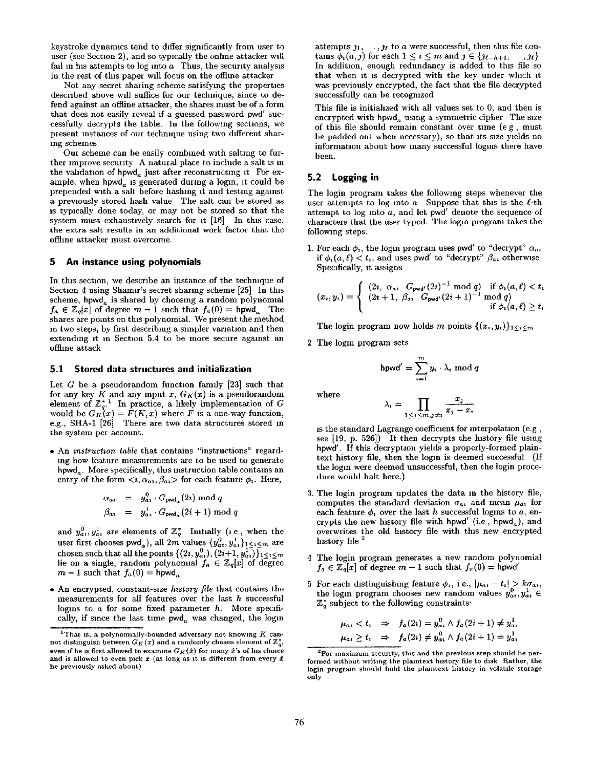keystroke dynamics tend to differ significantly from user to user (see Section 2), and so typically the online attacker will fad in his attempts to log into a Thus, the security analysis in the rest of this paper will focus on the offime attacker

Not any secret sharing scheme satisfying the properties described above will suffice for our technique, since to defend against an offiine attacker, the shares must be of a form that does not easily reveal if a guessed password pwd' successfully decrypts the table. In the following sections, we present instances of our technique using two different sharing schemes

Our scheme can be easily combined with salting to further improve security A natural place to include a salt is in the validation of hpwd<sub>a</sub> just after reconstructing it For example, when hpwd<sub>a</sub> is generated during a login, it could be prepended with a salt before hashing it and testing against a previously stored hash value The salt can be stored as is typically done today, or may not be stored so that the system must exhaustively search for it [16] In this case, the extra salt results in an additional work factor that the offline attacker must overcome.

## **5 An instance using polynomials**

In this section, we describe an instance of the technique of Section 4 using Shamir's secret sharing scheme [25] In this scheme, hpwd a is shared by choosing a random polynomial  $f_a \in \mathbb{Z}_q[x]$  of degree  $m-1$  such that  $f_a(0) =$  hpwd<sub>a</sub>. The shares are points on this polynomial. We present the method in two steps, by first describing a simpler variation and then extending it in Section 5.4 to be more secure against an offiine attack

## **5.1 Stored data structures and initialization**

Let  $G$  be a pseudorandom function family  $[23]$  such that for any key K and any input  $x, G_K(x)$  is a pseudorandom element of  $\mathbb{Z}_{q}^{*}$ . In practice, a likely implementation of G would be  $G_K(x) = F(K, x)$  where F is a one-way function, e.g., SHA-1 [26] There are two data structures stored in the system per account.

• An *instruction table* that contains "instructions" regarding how feature measurements are to be used to generate hpwd<sub> $a$ </sub>. More specifically, this instruction table contains an entry of the form  $\langle u, \alpha_{a}, \beta_{a} \rangle$  for each feature  $\phi_i$ . Here,

$$
\alpha_{a_1} = y_{a_1}^0 \cdot G_{\text{prvd}_a}(2i) \mod q
$$
  

$$
\beta_{a_1} = y_{a_1}^1 \cdot G_{\text{prvd}_a}(2i+1) \mod q
$$

and  $y_{a_1}^0, y_{a_1}^1$  are elements of  $\mathbb{Z}_q^*$  Initially (i.e., when the user first chooses  $\mathsf{pwd}_a$ ), all 2m values  $\{y^0_{a_1}, y^1_{a_1}\}_{1 \leq i \leq m}$  are chosen such that all the points  $\{(2i, y_{\alpha i}^0), (2i+1, y_{\alpha i}^1)\}_{1 \leq i \leq m}$ lie on a single, random polynomial  $f_a \in \mathbb{Z}_q[x]$  of degree  $m-1$  such that  $f_a(0) =$  hpwd.

• An encrypted, constant-size *history file* that contains the measurements for all features over the last  $h$  successful logms to  $a$  for some fixed parameter  $h$ . More specifically, if since the last time  $\mathsf{pwd}_a$  was changed, the login

attempts  $j_1, \ldots, j_\ell$  to a were successful, then this file contains  $\phi_i(a, j)$  for each  $1 \leq i \leq m$  and  $j \in \{j_{\ell-h+1}, \ldots, j_{\ell}\}\$ In addition, enough redundancy is added to this file so that when it is decrypted with the key under which it was previously encrypted, the fact that the file decrypted successfully can be recognized

This file is initiahzed with all values set to 0, and then is encrypted with hpwd $_{o}$  using a symmetric cipher The size of this file should remain constant over time (e g, must be padded out when necessary), so that its size yields no information about how many successful logins there have been.

## **5.2 Logging in**

The login program takes the following steps whenever the user attempts to log into a Suppose that this is the  $\ell$ -th attempt to  $log$  into  $a$ , and let pwd' denote the sequence of characters that the user typed. The login program takes the following steps.

1. For each  $\phi_i$ , the login program uses pwd' to "decrypt"  $\alpha_{ai}$ if  $\phi_i(a, \ell) < t_i$ , and uses pwd' to "decrypt"  $\beta_{a,i}$  otherwise Specifically, It assigns

$$
(x_i, y_i) = \begin{cases} (2i, \alpha_{a1} \ G_{\text{pwd}'}(2i)^{-1} \text{ mod } q) & \text{if } \phi_t(a, \ell) < t_i \\ (2i + 1, \ \beta_{a1} \ G_{\text{pwd}'}(2i + 1)^{-1} \text{ mod } q) & \text{if } \phi_t(a, \ell) \ge t_i \end{cases}
$$

The login program now holds m points  $\{(x_i, y_i)\}_{1 \leq i \leq m}$ 

2 The logm program sets

$$
\mathsf{h} \mathsf{p} \mathsf{w} \mathsf{d}' = \sum_{i=1}^m y_i \cdot \lambda_i \bmod q
$$

where

$$
\lambda_i = \prod_{1 \leq j \leq m, j \neq i} \frac{x_j}{x_j - x_i}
$$

is the standard Lagrange coefficient for interpolation (e.g , see [19, p. 526]) It then decrypts the history file using hpwd'. If this decryption yields a properly-formed plaintext history file, then the logm is deemed successful (If the login were deemed unsuccessful, then the login procedure would halt here.)

- 3. The login program updates the data m the history file, computes the standard deviation  $\sigma_{a}$ , and mean  $\mu_{a}$ , for each feature  $\phi_i$  over the last h successful logins to a, encrypts the new history file with hpwd' (i.e,  $h$ pwd<sub>a</sub>), and overwrites the old history file with this new encrypted history file<sup>2</sup>
- 4 The login program generates a new random polynomial  $f_a \in \mathbb{Z}_q[x]$  of degree  $m-1$  such that  $f_a(0) = \text{h}$  pwd'
- 5 For each distinguishing feature  $\phi_i$ , i.e.,  $|\mu_{a} t_i| > k\sigma_{a_i}$ , the login program chooses new random values  $y_{a_1}^0, y_{a_1}^1 \in$  $\mathbb{Z}_q^*$  subject to the following constraints.

$$
\mu_{a_1} < t_1 \quad \Rightarrow \quad f_a(2i) = y_{a_1}^0 \land f_a(2i+1) \neq y_{a_1}^1
$$
\n
$$
\mu_{a_1} \geq t_1 \quad \Rightarrow \quad f_a(2i) \neq y_{a_1}^0 \land f_a(2i+1) = y_{a_1}^1
$$

<sup>&</sup>lt;sup>1</sup>That is, a polynomially-bounded adversary not knowing  $K$  cannot distinguish between  $G_K(x)$  and a randomly chosen element of  $\mathbb{Z}_q^*,$ even if he is first allowed to examine  $G_K(\hat{x})$  for many  $\hat{x}$ 's of his choice and is allowed to even pick  $x$  (as long as it is different from every  $\hat{x}$ he prewously asked about)

 $2$ For maximum security, this and the previous step should be performed without writing the plamtext history file to disk Rather, the login program should hold the plantext history in volatile storage only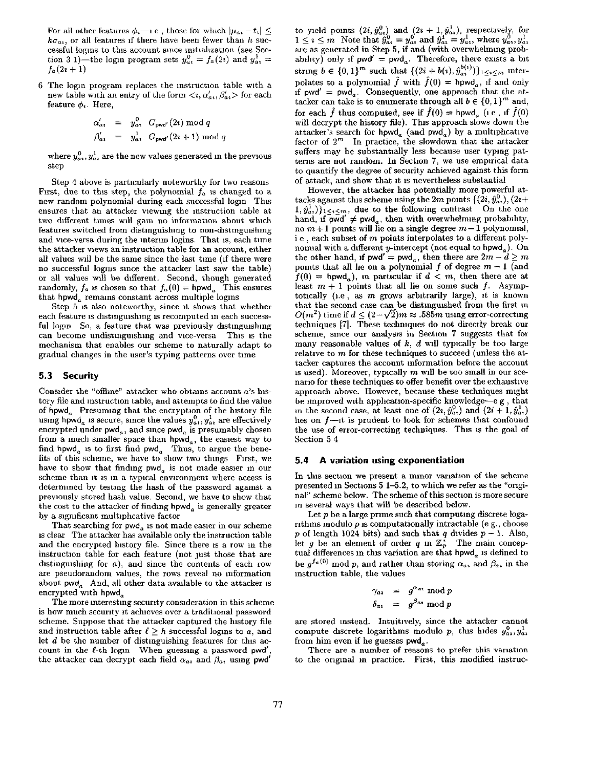For all other features  $\phi_i$ —1 e, those for which  $|\mu_{a_i} - t_i| \leq$  $k\sigma_{a_1}$ , or all features if there have been fewer than h successful logms to this account since initialization (see Section 3 1)—the login program sets  $y_{a_1}^0 = f_a(2i)$  and  $y_{a_2}^1 =$  $f_a(2i + 1)$ 

6 The login program replaces the instruction table with a new table with an entry of the form  $\langle a, \alpha'_{a}, \beta'_{a} \rangle$  for each feature  $\phi_i$ . Here,

$$
\alpha'_{a1} = y^0_{a1} G_{\text{pwd}'}(2i) \mod q
$$
  

$$
\beta'_{a1} = y^1_{a1} G_{\text{pwd}'}(2i+1) \mod q
$$

where  $y_{a_1}^0, y_{a_2}^1$  are the new values generated in the previous step

Step 4 above is particularly noteworthy for two reasons First, due to this step, the polynomial  $f_a$  is changed to a new random polynomial during each successful logm This ensures that an attacker wewmg the instruction table at two different times will gain no information about which features switched from distinguishing to non-distinguishing and vice-versa during the interim logins. That is, each time the attacker views an instruction table for an account, either all values will be the same since the last time (if there were no successful logms since the attacker last saw the table) or all values wall be dafferent. Second, though generated randomly,  $f_a$  is chosen so that  $f_a(0) =$  hpwd<sub>a</sub> This ensures that  $h$ pwd<sub>a</sub> remains constant across multiple logins

Step 5 is also noteworthy, since it shows that whether each feature is distinguishing is recomputed in each successful logm So, a feature that was previously distinguishing can become undistinguishing and vice-versa This is the mechanism that enables our scheme to naturally adapt to gradual changes in the user's typing patterns over time

### **5.3 Security**

Consider the "offline" attacker who obtains account  $a$ 's history file and instruction table, and attempts to find the value of  $\mathsf{hpwd}_a$  Presuming that the encryption of the history file using hpwd<sub>a</sub> is secure, since the values  $y_{a_1}^0, y_{a_1}^1$  are effectively encrypted under  $\mathsf{pwd}_a$ , and since  $\mathsf{pwd}_a$  is presumably chosen from a much smaller space than  $h \uprho w d_a$ , the easiest way to find hpwd<sub>a</sub> is to first find pwd<sub>a</sub> Thus, to argue the benefits of this scheme, we have to show two things First, we have to show that finding  $\mathsf{pwd}_a$  is not made easier in our scheme than it is in a typical environment where access is determined by testing the hash of the password against a prewously stored hash value. Second, we have to show that the cost to the attacker of finding  $h$ pwd<sub>a</sub> is generally greater by a significant multiplicative factor

That searching for  $\mathsf{pwd}_a$  is not made easier in our scheme as clear The attacker has available only the instruction table and the encrypted history file. Since there is a row in the instruction table for each feature (not just those that are distinguishing for *a*), and since the contents of each row are pseudorandom values, the rows reveal no information about pwd<sub>a</sub> And, all other data available to the attacker is encrypted with hpwd $_{a}$ 

The more interesting security consideration in this scheme is how much security it achieves over a traditional password scheme. Suppose that the attacker captured the history file and instruction table after  $\ell \geq h$  successful logins to a, and let  $d$  be the number of distinguishing features for this account in the  $\ell$ -th login When guessing a password pwd' the attacker can decrypt each field  $\alpha_{a_1}$  and  $\beta_{a_2}$  using pwd'

to yield points  $(2i, \hat{y}_{ai}^{\vee})$  and  $(2i + 1, \hat{y}_{ai}^{\perp})$ , respectively, for  $1 \leq i \leq m$  Note that  $\hat{y}_{a_1}^0 = y_{a_1}^0$  and  $\hat{y}_{a_1}^1 = y_{a_1}^1$ , where  $y_{a_1}^0, y_{a_1}^1$ are as generated in Step 5, if and (with overwhelming probability) only if  $\mathsf{pwd}' = \mathsf{pwd}_a$ . Therefore, there exists a bit string  $b \in \{0, 1\}^m$  such that  $\{(2i + b(i), \hat{y}_{ai}^{b(i)})\}_{1 \leq i \leq m}$  interpolates to a polynomial  $\hat{f}$  with  $\hat{f}(0) =$  hpwd<sub>c</sub>, if and only if pwd' =  $pwd<sub>a</sub>$ . Consequently, one approach that the attacker can take is to enumerate through all  $b \in \{0,1\}^m$  and, for each  $\hat{f}$  thus computed, see if  $\hat{f}(0) =$  hpwd<sub>a</sub> (i.e., if  $\hat{f}(0)$ ) will decrypt the history file). This approach slows down the attacker's search for hpwd<sub>a</sub> (and pwd<sub>a</sub>) by a multiphcative factor of  $2^m$  In practice, the slowdown that the attacker suffers may be substantially less because user typing patterns are not random. In Section 7, we use empirical data to quantify the degree of security achieved against this form of attack, and show that it is nevertheless substantial

However, the attacker has potentially more powerful attacks against this scheme using the 2m points  $\{(2i, \hat{y}_{a}^0), (2i+$  $\{(1, \hat{y}_{a_1})\}_{1 \leq i \leq m}$ , due to the following contrast On the one hand, if pwd'  $\neq$  pwd<sub>a</sub>, then with overwhelming probability, no  $m+1$  points will lie on a single degree  $m-1$  polynomial, i e, each subset of m points interpolates to a different polynomial with a different y-intercept (not equal to hpwd<sub>a</sub>). On the other hand, if  $\mathsf{pwd}' = \mathsf{pwd}_a$ , then there are  $2m - d \geq m$ points that all lie on a polynomial f of degree  $m - 1$  (and  $f(0) =$  hpwd<sub>a</sub>), in particular if  $d < m$ , then there are at least  $m + 1$  points that all lie on some such f. Asymptotically  $(i.e., as m grows arbitrarily large), it is known$ that the second case can be distinguished from the first in  $O(m^2)$  time if  $d \leq (2-\sqrt{2})m \approx .585m$  using error-correcting techniques [7]. These techmques do not directly break our scheme, since our analysis in Section 7 suggests that for many reasonable values of  $k$ ,  $d$  will typically be too large relative to  $m$  for these techniques to succeed (unless the attacker captures the account information before the account is used). Moreover, typically  $m$  will be too small in our scenario for these techniques to offer benefit over the exhaustive approach above. However, because these techniques might be improved with application-specific knowledge- $-e$  g, that m the second case, at least one of  $(2i, \hat{y}_{a}^0)$  and  $(2i + 1, \hat{y}_{a}^1)$ hes on  $f$ --1t is prudent to look for schemes that confound the use of error-correcting techniques. This is the goal of Section 5 4

#### **5.4 A variation using exponentiation**

In this section we present a minor vanation of the scheme presented m Sections 5 1-5.2, to which we refer as the "original" scheme below. The scheme of this section is more secure m several ways that will be described below.

Let p be a large prime such that computing discrete logarithms modulo  $p$  is computationally intractable (e.g., choose p of length 1024 bits) and such that q divides  $p-1$ . Also, let g be an element of order q in  $\mathbb{Z}_p^*$ . The main conceptual differences in this variation are that hpwd $_{a}$  is defined to be  $g^{f_a(0)}$  mod p, and rather than storing  $\alpha_{a}$ , and  $\beta_{a}$ , in the instruction table, the values

$$
\gamma_{a_1} = g^{\alpha_{a_1}} \mod p
$$
  

$$
\delta_{a_1} = g^{\beta_{a_1}} \mod p
$$

are stored instead. Intuitively, since the attacker cannot compute discrete logarithms modulo p, this hides  $y_{a_1}^0, y_{a_1}^1$ from him even if he guesses  $\mathsf{pwd}_a$ .

There are a number of reasons to prefer this variation to the original m practice. First, this modified instruc-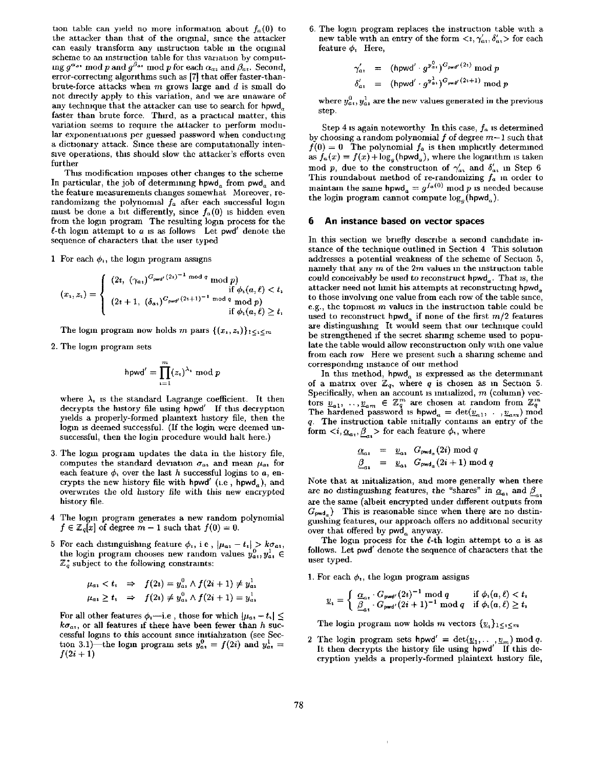tion table can yield no more information about  $f_a(0)$  to the attacker than that of the original, since the attacker can easily transform any instruction table in the original scheme to an instruction table for this variation by computing  $g^{\alpha_{a}}$  mod p and  $g^{\beta_{a}}$  mod p for each  $\alpha_{a}$  and  $\beta_{a}$ . Second, error-correcting algorithms such as [7] that offer faster-thanbrute-force attacks when  $m$  grows large and  $d$  is small do not directly apply to this variation, and we are unaware of any technique that the attacker can use to search for hpwd. faster than brute force. Third, as a practical matter, this variation seems to require the attacker to perform modular exponentiatlons per guessed password when conducting a dictionary attack. Since these are computationally intensive operations, this should slow the attacker's efforts even further

This modification Imposes other changes to the scheme In particular, the job of determining hpwd<sub>a</sub> from pwd<sub>a</sub> and the feature measurements changes somewhat Moreover, rerandomizing the polynomial  $f_a$  after each successful login must be done a bit differently, since  $f_a(0)$  is hidden even from the logm program The resulting logm process for the  $\ell$ -th login attempt to a is as follows Let pwd' denote the sequence of characters that the user typed

1 For each  $\phi_i$ , the login program assigns

$$
(x_1, z_1) = \begin{cases} (2i, (\gamma_{a_1})^{G_{\text{pwd'}}(2i)^{-1} \mod q} \mod p) & \text{if } \phi_i(a, \ell) < t_1 \\ (2i + 1, (\delta_{a_1})^{G_{\text{pwd'}}(2i+1)^{-1} \mod q} \mod p) & \text{if } \phi_i(a, \ell) \ge t_1 \end{cases}
$$

The login program now holds m pairs  $\{(x_i, z_i)\}_{1 \leq i \leq m}$ 

2. The logm program sets

$$
\mathsf{h}\mathsf{p}\mathsf{w}\mathsf{d}' = \prod_{i=1}^m (z_i)^{\lambda_i} \bmod p
$$

where  $\lambda_i$  is the standard Lagrange coefficient. It then decrypts the history file using hpwd' If this decryption yields a properly-formed plamtext history file, then the logm is deemed successful. (If the login were deemed unsuccessful, then the login procedure would halt here.)

- 3. The logm program updates the data in the history file, computes the standard deviation  $\sigma_{ax}$  and mean  $\mu_{ax}$  for each feature  $\phi$ , over the last h successful logins to a, encrypts the new history file with hpwd' (i.e., hpwd<sub>a</sub>), and overwrites the old history file with this new encrypted history file.
- 4 The logm program generates a new random polynomial  $f \in \mathbb{Z}_q[x]$  of degree  $m-1$  such that  $f(0) = 0$ .
- 5 For each distinguishing feature  $\phi_i$ , i.e.,  $|\mu_{a_i} t_i| > k\sigma_{a_i}$ , the login program chooses new random values  $y_{a_1}^0, y_{a_1}^1 \in$  $\mathbb{Z}_q^*$  subject to the following constraints:

$$
\mu_{a1} < t_1 \Rightarrow f(2i) = y_{a1}^0 \land f(2i+1) \neq y_{a1}^1
$$
\n
$$
\mu_{a1} \geq t_1 \Rightarrow f(2i) \neq y_{a1}^0 \land f(2i+1) = y_{a1}^1
$$

For all other features  $\phi_i$ —i.e, those for which  $|\mu_{ai} - t_i| \leq$  $k\sigma_{a}$ , or all features if there have been fewer than h successful logms to this account since initialization (see Section 3.1)—the login program sets  $y_{a_1}^0 = f(2i)$  and  $y_{a_1}^1 =$  $f(2i + 1)$ 

6. The logm program replaces the instruction table with a new table with an entry of the form  $\langle z, \gamma'_{\alpha i}, \delta'_{\alpha i} \rangle$  for each feature  $\phi$ . Here,

$$
\gamma'_{\alpha i} = (\text{h} \text{pwd}' \cdot g^{\mathfrak{y}_{\alpha i}^0})^{G_{\text{pwd}'}(2i)} \mod p
$$
  

$$
\delta'_{\alpha i} = (\text{h} \text{pwd}' \cdot g^{\mathfrak{y}_{\alpha i}^1})^{G_{\text{pwd}'}(2i+1)} \mod p
$$

where  $y_{a_1}^0, y_{a_1}^1$  are the new values generated in the previous step.

Step 4 is again noteworthy In this case,  $f_a$  is determined by choosing a random polynomial  $f$  of degree  $m-1$  such that  $f(0) = 0$  The polynomial  $f_a$  is then implicitly determined as  $f_a(x) = f(x) + \log_g(\text{hprod}_a)$ , where the logarithm is taken mod p, due to the construction of  $\gamma'_{a_1}$  and  $\delta'_{a_2}$  in Step 6 This roundabout method of re-randomizing  $f_a$  in order to maintain the same hpwd<sub>a</sub> =  $g^{fa(0)}$  mod p is needed because the login program cannot compute  $log_a(h$ pwd<sub>a</sub>).

### **6 An instance based on vector spaces**

In this section we briefly describe a second candidate instance of the technique outlined in Section 4 This solution addresses a potential weakness of the scheme of Section 5, namely that any  $m$  of the  $2m$  values in the instruction table could conceivably be used to reconstruct  $h$ pwd<sub>a</sub>. That is, the attacker need not limit his attempts at reconstructing  $h \rho w d_a$ to those involving one value from each row of the table since, e.g., the topmost  $m$  values in the instruction table could be used to reconstruct hpwd<sub>a</sub> if none of the first  $m/2$  features are distinguishing It would seem that our technique could be strengthened if the secret sharing scheme used to populate the table would allow reconstruction only with one value from each row Here we present such a sharing scheme and corresponding instance of our method

In this method,  $h$ pwd $_{a}$  is expressed as the determinant of a matrix over  $\mathbb{Z}_q$ , where q is chosen as in Section 5. Specifically, when an account is initialized,  $m$  (column) vectors  $v_{a1}, \ldots, v_{am} \in \mathbb{Z}_q^m$  are chosen at random from  $\mathbb{Z}_q^m$ The hardened password is  $h \cdot \phi_a = \det(\underline{v}_{a1}, \ldots, \underline{v}_{am})$  mod q. The instruction table initially contains an entry of the form  $\langle i, \underline{\alpha}_{a_i}, \underline{\beta}_{a_i} \rangle$  for each feature  $\phi_i$ , where

$$
\begin{array}{rcl}\n\underline{\alpha}_{a1} & = & \underline{v}_{a1} & G_{\mathsf{pwd}_a}(2i) \bmod q \\
\underline{\beta}_{a1} & = & \underline{v}_{a1} & G_{\mathsf{pwd}_a}(2i+1) \bmod q\n\end{array}
$$

Note that at initialization, and more generally when there are no distinguishing features, the "shares" in  $\underline{\alpha}_{a_1}$  and  $\underline{\beta}_{a_2}$ are the same (albeit encrypted under different outputs from  $G_{\text{pwd}_a}$ ) This is reasonable since when there are no distinguishing features, our approach offers no additional security over that offered by  $\mathsf{pwd}_a$  anyway.

The login process for the  $\ell$ -th login attempt to  $a$  is as follows. Let pwd' denote the sequence of characters that the user typed.

1. For each  $\phi_i$ , the login program assigns

$$
\underline{v}_{i} = \left\{ \begin{array}{ll} \underline{\alpha}_{a i} \cdot G_{\mathsf{pwd}^i} (2i)^{-1} \bmod q & \text{if } \phi_{i}(a, \ell) < t_{i} \\ \underline{\beta}_{a i} \cdot G_{\mathsf{pwd}^i} (2i+1)^{-1} \bmod q & \text{if } \phi_{i}(a, \ell) \geq t_{i} \end{array} \right.
$$

The login program now holds m vectors  $\{v_n\}_{1 \leq n \leq m}$ 

2 The login program sets hpwd' =  $det(\underline{v}_1, \ldots, \underline{v}_m) \mod q$ . It then decrypts the history file using hpwd' If this decryption yields a properly-formed plaintext history file,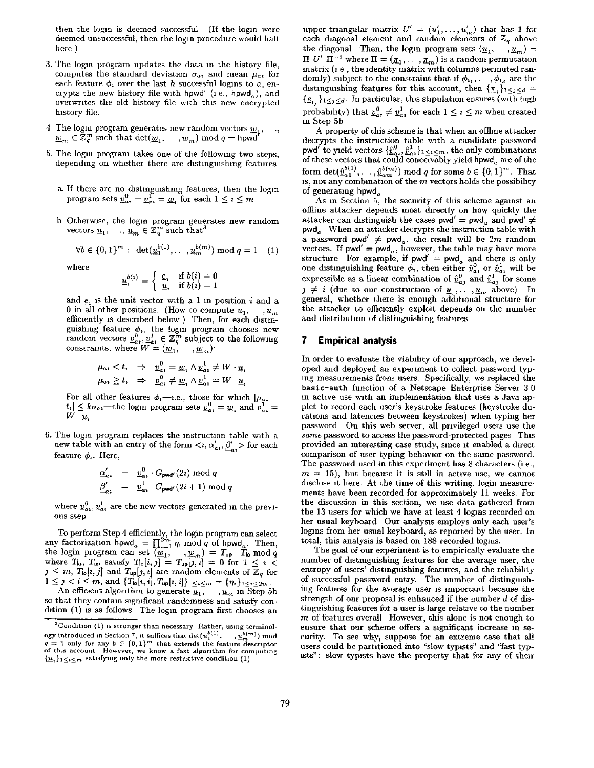then the logm is deemed successful (If the logm were deemed unsuccessful, then the logm procedure would halt here )

- 3. The logm program updates the data m the history file, computes the standard deviation  $\sigma_{a_1}$  and mean  $\mu_{a_1}$  for each feature  $\phi_i$  over the last h successful logins to a, encrypts the new history file with hpwd' (1 e., hpwd<sub>a</sub>), and overwrites the old history file with this new encrypted history file.
- 4 The login program generates new random vectors  $\underline{w}_1, \ldots,$  $w_m \in \mathbb{Z}_q^m$  such that  $\det(\underline{w}_1, \dots, \underline{w}_m) \mod q = \text{h}$  and  $q'$
- 5. The logm program takes one of the following two steps, depending on whether there are dlstmgmshmg features
	- a. If there are no distinguishing features, then the login program sets  $v_{\alpha i}^0 = v_{\alpha i}^1 = w_i$  for each  $1 \leq i \leq m$
	- b Otherwise, the logm program generates new random vectors  $\underline{u}_1$ , ...,  $\underline{u}_m \in \mathbb{Z}_q^m$  such that<sup>3</sup>

$$
\forall b \in \{0,1\}^m : \det(\underline{u}_1^{b(1)}, \dots, \underline{u}_m^{b(m)}) \bmod q = 1 \quad (1)
$$

where

$$
\underline{u}_i^{b(i)} = \begin{cases} \underline{e}_i & \text{if } b(i) = 0 \\ \underline{u}_i & \text{if } b(i) = 1 \end{cases}
$$

and  $\underline{e}_i$  is the unit vector with a 1 in position i and a 0 in all other positions. (How to compute  $\underline{u}_1, \dots, \underline{u}_m$ efficiently is described below) Then, for each distinguishing feature  $\phi_i$ , the login program chooses new random vectors  $v^{\upsilon}_{\alpha\upsilon},v^{\upsilon}_{\alpha\upsilon}\in\mathbb{Z}_{q}^{m}$  subject to the following constraints, where  $W = (\underline{w}_1, \dots, \underline{w}_m)$ .

$$
\mu_{a1} < t, \quad \Rightarrow \quad \underline{v}_{a1}^0 = \underline{w}_1 \land \underline{v}_{a1}^1 \neq W \cdot \underline{u}_1
$$
\n
$$
\mu_{a1} \geq t, \quad \Rightarrow \quad \underline{v}_{a1}^0 \neq \underline{w}_1 \land \underline{v}_{a1}^1 = W \cdot \underline{u}_1
$$

For all other features  $\phi_1$ —i.e., those for which  $|\mu_{a_1} - \mu_{a_2}|$  $|t_1| \leq k\sigma_{a_1}$ —the login program sets  $v_{a_2}^0 = w_a$ , and  $v_{a_2}^1 = w_a$  $W$ <sup> $u_i$ </sup>

 $6.$  The login program replaces the instruction table with a new table with an entry of the form  $\langle z, \underline{\alpha}'_{a_1}, \underline{\beta}'_{a_2} \rangle$  for each feature  $\phi_i$ . Here,

$$
\underline{\alpha}'_{ai} = \underline{v}_{ai}^0 \cdot G_{\text{pwd}'}(2i) \mod q
$$
  

$$
\underline{\beta}'_{ai} = \underline{v}_{ai}^1 \cdot G_{\text{pwd}'}(2i+1) \mod q
$$

where  $\underline{v}_{a_1}^0, \underline{v}_{a_2}^1$  are the new vectors generated in the previous step

To perform Step 4 efficiently, the login program can select any factorization hpwd<sub>a</sub> =  $\prod_{i=1}^{2m} \eta_i$  mod q of hpwd<sub>a</sub>. Then, the login program can set  $(\underline{w}_1, \dots, \underline{w}_m) = T_{\mathsf{up}}$   $T_{\mathsf{lo}}$  mod q where  $T_{\text{lo}}$ ,  $T_{\text{up}}$  satisfy  $T_{\text{lo}}[i,j] = T_{\text{up}}[j,i] = 0$  for  $1 \leq i <$  $j \leq m$ ,  $T_{\alpha}[i,j]$  and  $T_{\alpha}[j,i]$  are random elements of  $\mathbb{Z}_q$  for  $1 \leq j \leq i \leq m$ , and  $\{T_{\text{lo}}[i,i], T_{\text{up}}[i,i]\}_{1 \leq i \leq m} = \{\eta_i\}_{1 \leq i \leq 2m}$ .

An efficient algorithm to generate  $\underline{u}_1$ , ,  $\underline{u}_m$  in Step 5b so that they contain significant randomness and satisfy condition  $(1)$  is as follows The login program first chooses an

upper-truangular matrix  $U' = (\underline{u}'_1, \dots, \underline{u}'_m)$  that has 1 for each diagonal element and random elements of  $\mathbb{Z}_q$  above the diagonal Then, the login program sets  $(\underline{u}_1, \dots, \underline{u}_m)$  =  $\Pi$   $U'$   $\Pi^{-1}$  where  $\Pi = (\underline{\pi}_1, \ldots, \underline{\pi}_m)$  is a random permutation matrix (i.e., the identity matrix with columns permuted randomly) subject to the constraint that if  $\phi_{i_1}, \ldots, \phi_{i_d}$  are the distinguishing features for this account, then  $\{\pi_i\}_{1\leq i\leq d}$  =  $\{\underline{e}_{i,j}\}_{1\leq j\leq d}$ . In particular, this stipulation ensures (with high probability) that  $\underline{v}_{a}^{0} \neq \underline{v}_{a}^{1}$  for each  $1 \leq i \leq m$  when created m Step 5b

A property of this scheme is that when an offime attacker decrypts the instruction table with a candidate password pwd' to yield vectors  ${\{\hat{v}_{ai}^0,\hat{v}_{ai}^1\}_{1\leq i\leq m}}$ , the only combinations of these vectors that could conceivably yield hpwd $_a$  are of the form  $\det(\hat{v}^{b(1)}_{a1}, \ldots, \hat{v}^{b(m)}_{am} )$  mod q for some  $b \in \{0, 1\}^m$ . That is, not any combination of the  $m$  vectors holds the possibility of generating  $h$ pwd $_a$ 

As in Section 5, the security of this scheme against an offline attacker depends most directly on how quickly the attacker can distinguish the cases  $\mathsf{pwd}' = \mathsf{pwd}_a$  and  $\mathsf{pwd}' \neq \emptyset$  $pwd<sub>a</sub>$  When an attacker decrypts the instruction table with a password pwd'  $\neq$  pwd<sub>a</sub>, the result will be 2m random vectors. If  $\mathsf{pwd}' = \mathsf{pwd}_a$ , however, the table may have more structure For example, if  $\mathsf{pwd}' = \mathsf{pwd}_a$  and there is only one distinguishing feature  $\phi_i$ , then either  $\hat{v}_{ai}^{\dagger}$  or  $\hat{v}_{ai}^{\dagger}$  will be expressible as a linear combination of  $\hat{\mathfrak{L}}_{a}^0$  and  $\hat{\mathfrak{L}}_{a}^1$  for some  $j \neq i$  (due to our construction of  $\underline{u}_1, \dots, \underline{u}_m$  above) In general, whether there is enough additional structure for the attacker to efficiently exploit depends on the number and distribution of distinguishing features

## **7 Empirical analysis**

In order to evaluate the viablhty of our approach, we developed and deployed an experiment to collect password typing measurements from users. Specifically, we replaced the basic-auth function of a Netscape Enterprise Server 3 0 m active use with an implementation that uses a Java applet to record each user's keystroke features (keystroke durations and latencies between keystrokes) when typing her password On this web server, all privileged users use the same password to access the password-protected pages This provided an interesting case study, since it enabled a direct comparison of user typing behavior on the same password. The password used in this experiment has 8 characters (i e.,  $m = 15$ , but because it is still in active use, we cannot disclose it here. At the time of this writing, login measurements have been recorded for approximately 11 weeks. For the discussion in this section, we use data gathered from the 13 users for which we have at least 4 logms recorded on her usual keyboard Our analysis employs only each user's logms from her usual keyboard, as reported by the user. In total, this analysis is based on 188 recorded logins.

The goal of our experiment is to empirically evaluate the number of distinguishing features for the average user, the entropy of users' distinguishing features, and the rehabihty of successful password entry. The number of distinguishing features for the average user is Important because the strength of our proposal is enhanced if the number d of distinguishing features for a user is large relative to the number m of features overall However, this alone is not enough to ensure that our scheme offers a significant increase m security. To see why, suppose for an extreme case that all users could be partitioned into "slow typists" and "fast typists": slow typists have the property that for any of their

 $3$ Condition (1) is stronger than necessary Rather, using terminology introduced in Section 7, it suffices that  $\det(u_1^{\sigma(1)}, \ldots, u_n^{\sigma(m)})$  mod  $q = 1$  only for any  $b \in \{0,1\}^m$  that extends the feature descriptor of this account However, we know a fast algorithm for computing  $\{\underline{u}_i\}_{1 \leq i \leq m}$  satisfying only the more restrictive condition (1)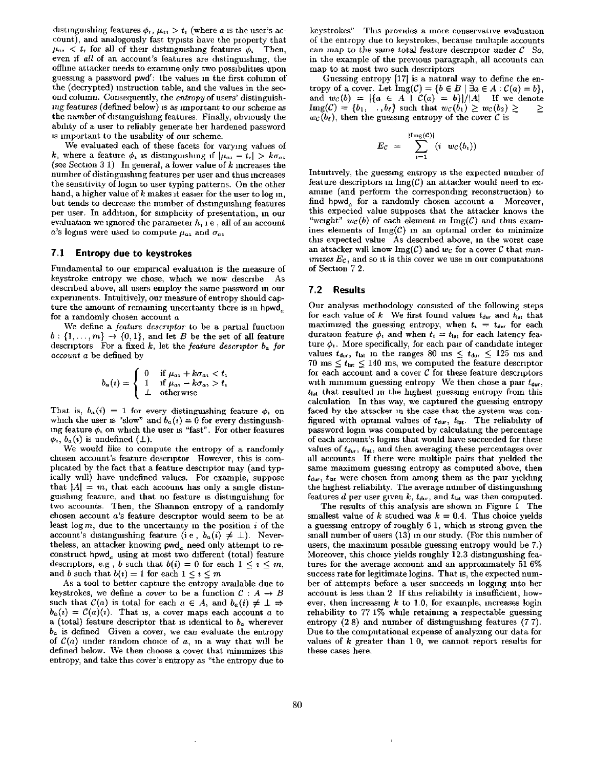distinguishing features  $\phi_i$ ,  $\mu_{a} > t_i$  (where a is the user's account), and analogously fast typists have the property that  $\mu_{a}$ ,  $\lt t_i$  for all of their distinguishing features  $\phi_i$ . Then, even if *all* of an account's features are distinguishing, the offilne attacker needs to examine only two possibilities upon guessing a password pwd': the values m the first column of the (decrypted) instruction table, and the values in the second column. Consequently, the *entropy* of users' distinguishlng features (defined below) is as important to our scheme as the *number* of distinguishing features. Finally, obviously the ability of a user to reliably generate her hardened password is important to the usability of our scheme.

We evaluated each of these facets for varying values of k, where a feature  $\phi_1$  is distinguishing if  $|\mu_{a_1} - t_i| > k\sigma_{a_1}$ (see Section 3 1) In general, a lower value of  $k$  increases the number of distinguishing features per user and thus increases the sensitivity of logm to user typing patterns. On the other hand, a higher value of  $k$  makes it easier for the user to log in, but tends to decrease the number of distinguishing features per user. In addition, for simplicity of presentation, in our evaluation we ignored the parameter  $h$ , i.e., all of an account a's logins were used to compute  $\mu_{a_1}$  and  $\sigma_{a_2}$ 

## **7.1 Entropy due to keystrokes**

Fundamental to our empirical evaluation is the measure of keystroke entropy we chose, which we now describe As described above, all users employ the same password in our experiments. Intuitively, our measure of entropy should capture the amount of remaining uncertainty there is in  $h$  hpwd. for a randomly chosen account a

We define a *feature dcscmptor* to be a partial function  $b: \{1,\ldots,m\} \rightarrow \{0,1\}$ , and let B be the set of all feature descriptors For a fixed k, let the *feature descmptor ba for account a* be defined by

$$
b_a(i) = \begin{cases} 0 & \text{if } \mu_{a_1} + k\sigma_{a_2} < t_i \\ 1 & \text{if } \mu_{a_1} - k\sigma_{a_2} > t_i \\ \perp & \text{otherwise} \end{cases}
$$

That is,  $b_a(i) = 1$  for every distinguishing feature  $\phi_i$  on which the user is "slow" and  $b_a(t) = 0$  for every distinguishing feature  $\phi_1$  on which the user is "fast". For other features  $\phi_i$ ,  $b_a(i)$  is undefined (1).

We would like to compute the entropy of a randomly chosen account's feature descriptor However, this is comphcated by the fact that a feature descriptor may (and typically will) have undefined values. For example, suppose that  $|A| = m$ , that each account has only a single distinguishing feature, and that no feature is distinguishing for two accounts. Then, the Shannon entropy of a randomly chosen account a's feature descriptor would seem to be at least  $\log m$ , due to the uncertainty in the position i of the account's distinguishing feature (i e,  $b_a(i) \neq \perp$ ). Nevertheless, an attacker knowing  $\mathsf{pwd}_a$  need only attempt to reconstruct  $h$ pwd $_a$  using at most two different (total) feature descriptors, e.g, b such that  $b(i) = 0$  for each  $1 \leq i \leq m$ , and b such that  $b(i) = 1$  for each  $1 \leq i \leq m$ 

As a tool to better capture the entropy available due to keystrokes, we define a *cover* to be a function  $C : A \rightarrow B$ such that  $C(a)$  is total for each  $a \in A$ , and  $b_a(i) \neq \perp \Rightarrow$  $b_a(i) = C(a)(i)$ . That is, a cover maps each account a to a (total) feature descriptor that is identical to  $b_a$  wherever  $b_a$  is defined Given a cover, we can evaluate the entropy of  $C(a)$  under random choice of  $a$ , in a way that will be defined below. We then choose a cover that minimizes this entropy, and take this cover's entropy as "the entropy due to keystrokes" This provides a more conservative evaluation of the entropy due to keystrokes, because multiple accounts can map to the same total feature descriptor under *C So,*  in the example of the previous paragraph, all accounts can map to at most two such descriptors

Guessing entropy [17] is a natural way to define the entropy of a cover. Let  $\text{Img}(\mathcal{C}) = \{b \in B \mid \exists a \in A : \mathcal{C}(a) = b\},\$ and  $w_c(b) = |\{a \in A \mid C(a) = b\}|/|A|$  If we denote  $\text{Img}(\mathcal{C}) = \{b_1, \ldots, b_\ell\}$  such that  $w_{\mathcal{C}}(b_1) \geq w_{\mathcal{C}}(b_2) \geq \cdots \geq 1$  $w_{\mathcal{C}}(b_{\ell})$ , then the guessing entropy of the cover  $\mathcal{C}$  is

$$
E_{\mathcal{C}} = \sum_{i=1}^{\lvert \text{Img}(\mathcal{C}) \rvert} (i \ w_{\mathcal{C}}(b_i))
$$

Intuitively, the guessing entropy is the expected number of feature descriptors in  $\text{Img}(\mathcal{C})$  an attacker would need to examine (and perform the corresponding reconstruction) to find hpwd, for a randomly chosen account  $a$  Moreover, this expected value supposes that the attacker knows the "weight"  $w_{\mathcal{C}}(b)$  of each element in  $\text{Img}(\mathcal{C})$  and thus examines elements of  $\text{Img}(\mathcal{C})$  in an optimal order to minimize this expected value As described above, in the worst case an attacker will know  $\text{Img}(\mathcal{C})$  and  $w_{\mathcal{C}}$  for a cover  $\mathcal C$  that  $mn$ *imizes*  $E_c$ , and so it is this cover we use in our computations of Section 72.

## **7.2 Results**

Our analysis methodology consisted of the following steps for each value of k We first found values  $t_{\text{dur}}$  and  $t_{\text{lat}}$  that maximized the guessing entropy, when  $t_1 = t_{dur}$  for each duration feature  $\phi_t$  and when  $t_i = t_{lat}$  for each latency feature  $\phi_{1}$ . More specifically, for each pair of candidate integer values  $t_{\text{dur}}$ ,  $t_{\text{lat}}$  in the ranges 80 ms  $\leq t_{\text{dur}} \leq 125$  ms and 70 ms  $\le t_{\text{lat}} \le 140$  ms, we computed the feature descriptor for each account and a cover  $C$  for these feature descriptors with minimum guessing entropy We then chose a pair  $t_{\text{dur}}$ ,  $t_{lat}$  that resulted in the highest guessing entropy from this calculation In this way, we captured the guessing entropy faced by the attacker in the case that the system was configured with optimal values of  $t_{dur}$ ,  $t_{lat}$ . The reliability of password logm was computed by calculating the percentage of each account's logms that would have succeeded for these values of  $t_{\text{dur}}$ ,  $t_{\text{lat}}$ , and then averaging these percentages over all accounts If there were multiple pairs that yielded the same maximum guessing entropy as computed above, then  $t_{dur}$ ,  $t_{lat}$  were chosen from among them as the pair yielding the highest reliability. The average number of distinguishing features d per user given k,  $t_{dur}$ , and  $t_{lat}$  was then computed.

The results of this analysis are shown in Figure 1 The smallest value of k studied was  $k = 0.4$ . This choice yields a guessing entropy of roughly 6 1, which is strong given the small number of users (13) in our study. (For this number of users, the maximum possible guessing entropy would be 7.) Moreover, this choice yields roughly 12.3 distinguishing features for the average account and an approximately 51 6% success rate for legitimate logins. That is, the expected number of attempts before a user succeeds in logging into her account is less than 2 If this reliability is insufficient, however, then increasing  $k$  to 1.0, for example, increases login reliability to 77 1% while retaining a respectable guessing entropy (2 8) and number of distinguishing features (7 7). Due to the computational expense of analyzing our data for values of  $k$  greater than 10, we cannot report results for these cases here.

 $\overline{1}$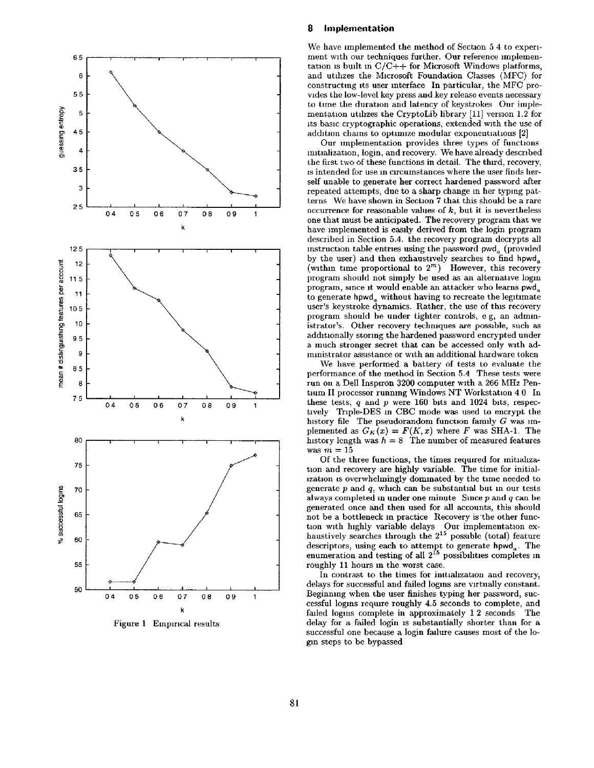

Figure 1 Empirical results

#### **8 Implementation**

We have implemented the method of Section 5 4 to experiment with our techniques further. Our reference implementation is built in  $C/C++$  for Microsoft Windows platforms, and utlhzes the Microsoft Foundation Classes (MFC) for constructing its user interface In particular, the MFC provides the low-level key press and key release events necessary to time the duration and latency of keystrokes Our implementation utlhzes the CryptoLib library [11] version 1.2 for its basic cryptographic operations, extended with the use of addition chains to optimize modular exponentiations [2]

Our implementation provides three types of functions initialization, login, and recovery. We have already described the first two of these functions in detail. The third, recovery, is intended for use in circumstances where the user finds herself unable to generate her correct hardened password after repeated attempts, due to a sharp change in her typing patterns We have shown in Section 7 that this should be a rare occurrence for reasonable values of  $k$ , but it is nevertheless one that must be anticipated. The recovery program that we have implemented is easily derived from the login program described in Section 5.4. the recovery program decrypts all instruction table entries using the password pwd, (provided by the user) and then exhaustively searches to find hpwd. (within time proportional to  $2^m$ ) However, this recovery program should not simply be used as an alternative login program, since it would enable an attacker who learns pwd. to generate hpwd, without having to recreate the legitimate user's keystroke dynamics. Rather, the use of this recovery program should be under tighter controls, e g, an administrator's. Other recovery techmques are possible, such as additionally storing the hardened password encrypted under a much stronger secret that can be accessed only with administrator assistance or with an additional hardware token

We have performed a battery of tests to evaluate the performance of the method in Section 5.4 These tests were run on a Dell Inspiron 3200 computer with a 266 MHz Pentium II processor running Windows NT Workstation 40 In these tests,  $q$  and  $p$  were 160 bits and 1024 bits, respectively Triple-DES in *CBC* mode was used to encrypt the history file The pseudorandom function family  $G$  was implemented as  $G_K(x) = F(K, x)$  where F was SHA-1. The history length was  $h = 8$  The number of measured features was  $m=15$ 

Of the three functions, the times required for initialization and recovery are highly variable. The time for initiallzatlon is overwhelmingly dominated by the time needed to generate  $p$  and  $q$ , which can be substantial but in our tests always completed m under one minute Since p and q can be generated once and then used for all accounts, this should not be a bottleneck m practice Recovery is'the other function with highly variable delays Our implementation exhaustively searches through the 2<sup>15</sup> possible (total) feature descriptors, using each to attempt to generate hpwd. The enumeration and testing of all  $2^{15}$  possibilities completes in roughly 11 hours m the worst case.

In contrast to the times for imtiahzation and recovery, delays for successful and failed logins are virtually constant. Beginning when the user finishes typing her password, successful logms reqmre roughly 4.5 seconds to complete, and failed loglns complete in approximately 1 2 seconds The delay for a failed login is substantially shorter than for a successful one because a login failure causes most of the login steps to be bypassed